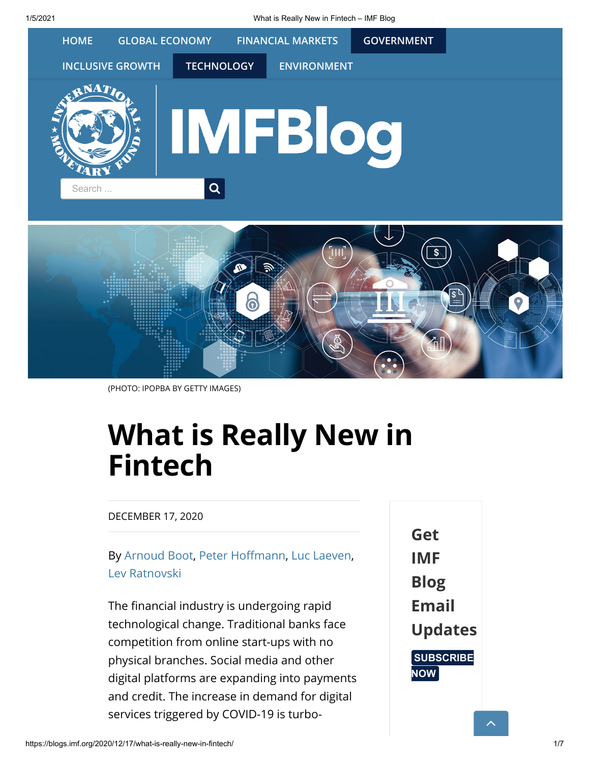1/5/2021 What is Really New in Fintech – IMF Blog



(PHOTO: IPOPBA BY GETTY IMAGES)

# What is Really New in Fintech

#### DECEMBER 17, 2020

## By [Arnoud Boot,](https://www.arnoudboot.nl/) Peter Hoffmann, [Luc Laeven,](https://blogs.imf.org/bloggers/luc-laeven/) [Lev Ratnovski](https://blogs.imf.org/bloggers/lev-ratnovski/)

The financial industry is undergoing rapid technological change. Traditional banks face competition from online start-ups with no physical branches. Social media and other digital platforms are expanding into payments and credit. The increase in demand for digital services triggered by COVID-19 is turboGet IMF Blog Email Updates **[SUBSCRIBE](https://public.govdelivery.com/accounts/USIMF/signup/14746)** NOW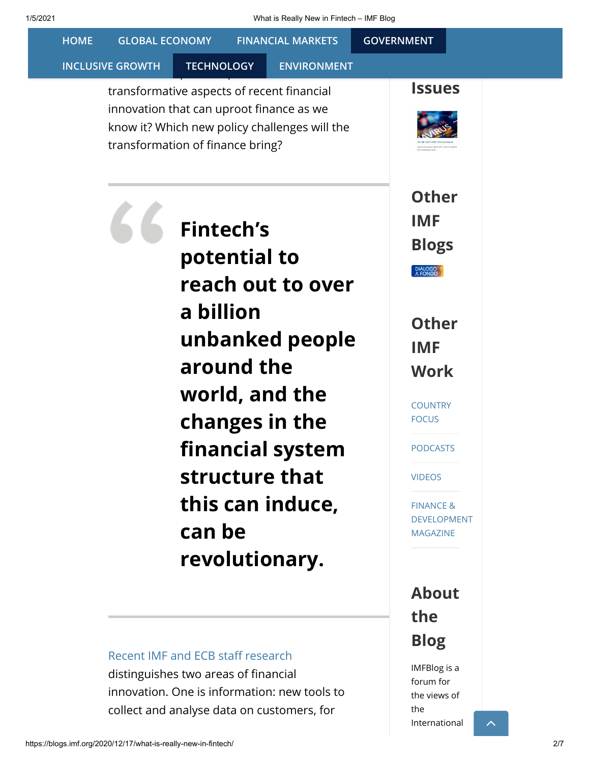| <b>HOME</b>                                                                                                                                                             | <b>GLOBAL ECONOMY</b>                                                                                                                                                       | <b>FINANCIAL MARKETS</b> | <b>GOVERNMENT</b>                                                              |  |
|-------------------------------------------------------------------------------------------------------------------------------------------------------------------------|-----------------------------------------------------------------------------------------------------------------------------------------------------------------------------|--------------------------|--------------------------------------------------------------------------------|--|
| <b>INCLUSIVE GROWTH</b>                                                                                                                                                 | <b>TECHNOLOGY</b>                                                                                                                                                           | <b>ENVIRONMENT</b>       |                                                                                |  |
|                                                                                                                                                                         | transformative aspects of recent financial<br>innovation that can uproot finance as we<br>know it? Which new policy challenges will the<br>transformation of finance bring? |                          | <b>Issues</b>                                                                  |  |
|                                                                                                                                                                         | <b>Fintech's</b><br>potential to<br>reach out to over                                                                                                                       |                          | <b>Other</b><br><b>IMF</b><br><b>Blogs</b><br>DIÁLOGO<br>A FONDO               |  |
|                                                                                                                                                                         | a billion<br>unbanked people<br>around the                                                                                                                                  |                          | <b>Other</b><br><b>IMF</b><br><b>Work</b>                                      |  |
|                                                                                                                                                                         | world, and the<br>changes in the<br>financial system                                                                                                                        |                          | <b>COUNTRY</b><br><b>FOCUS</b><br><b>PODCASTS</b>                              |  |
|                                                                                                                                                                         | structure that<br>this can induce,<br>can be                                                                                                                                |                          | <b>VIDEOS</b><br><b>FINANCE &amp;</b><br><b>DEVELOPMENT</b><br><b>MAGAZINE</b> |  |
|                                                                                                                                                                         | revolutionary.                                                                                                                                                              |                          |                                                                                |  |
|                                                                                                                                                                         |                                                                                                                                                                             |                          | <b>About</b><br>the<br><b>Blog</b>                                             |  |
| Recent IMF and ECB staff research<br>distinguishes two areas of financial<br>innovation. One is information: new tools to<br>collect and analyse data on customers, for |                                                                                                                                                                             |                          | <b>IMFBlog</b> is a<br>forum for<br>the views of<br>the<br>International       |  |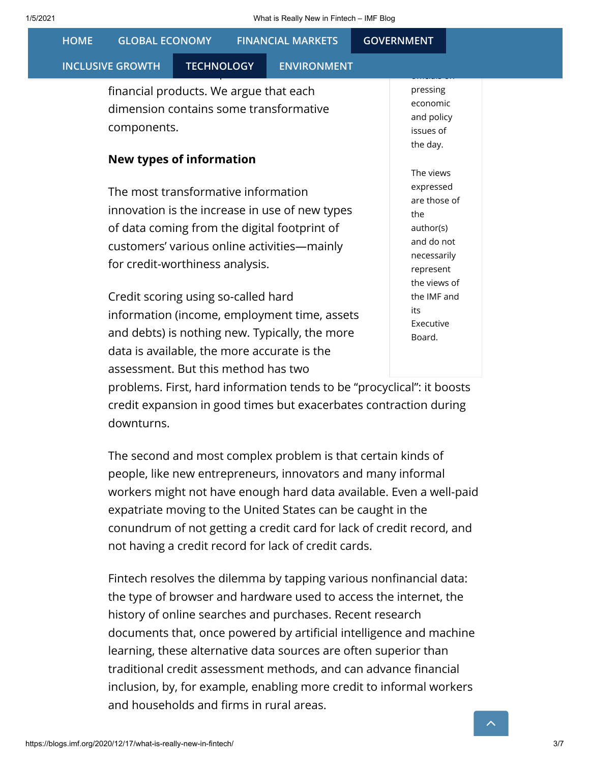| 1/5/2021    |                                                                                                 | What is Really New in Fintech - IMF Blog                                                                                                      |                                                                                                         |  |  |  |  |
|-------------|-------------------------------------------------------------------------------------------------|-----------------------------------------------------------------------------------------------------------------------------------------------|---------------------------------------------------------------------------------------------------------|--|--|--|--|
| <b>HOME</b> | <b>GLOBAL ECONOMY</b>                                                                           | <b>FINANCIAL MARKETS</b>                                                                                                                      | <b>GOVERNMENT</b>                                                                                       |  |  |  |  |
|             | <b>INCLUSIVE GROWTH</b><br><b>TECHNOLOGY</b>                                                    | <b>ENVIRONMENT</b>                                                                                                                            |                                                                                                         |  |  |  |  |
|             | financial products. We argue that each<br>dimension contains some transformative<br>components. |                                                                                                                                               | pressing<br>economic<br>and policy<br>issues of<br>the day.                                             |  |  |  |  |
|             | New types of information                                                                        |                                                                                                                                               | The views                                                                                               |  |  |  |  |
|             | The most transformative information<br>for credit-worthiness analysis.                          | innovation is the increase in use of new types<br>of data coming from the digital footprint of<br>customers' various online activities—mainly | expressed<br>are those of<br>the<br>author(s)<br>and do not<br>necessarily<br>represent<br>the views of |  |  |  |  |
|             | Credit scoring using so-called hard                                                             | information (income, employment time, assets<br>and debts) is nothing new. Typically, the more                                                | the IMF and<br>its<br>Executive<br>Board.                                                               |  |  |  |  |

problems. First, hard information tends to be "procyclical": it boosts credit expansion in good times but exacerbates contraction during downturns.

data is available, the more accurate is the

assessment. But this method has two

The second and most complex problem is that certain kinds of people, like new entrepreneurs, innovators and many informal workers might not have enough hard data available. Even a well-paid expatriate moving to the United States can be caught in the conundrum of not getting a credit card for lack of credit record, and not having a credit record for lack of credit cards.

Fintech resolves the dilemma by tapping various nonfinancial data: the type of browser and hardware used to access the internet, the history of online searches and purchases. Recent research documents that, once powered by artificial intelligence and machine learning, these alternative data sources are often superior than traditional credit assessment methods, and can advance financial inclusion, by, for example, enabling more credit to informal workers and households and firms in rural areas.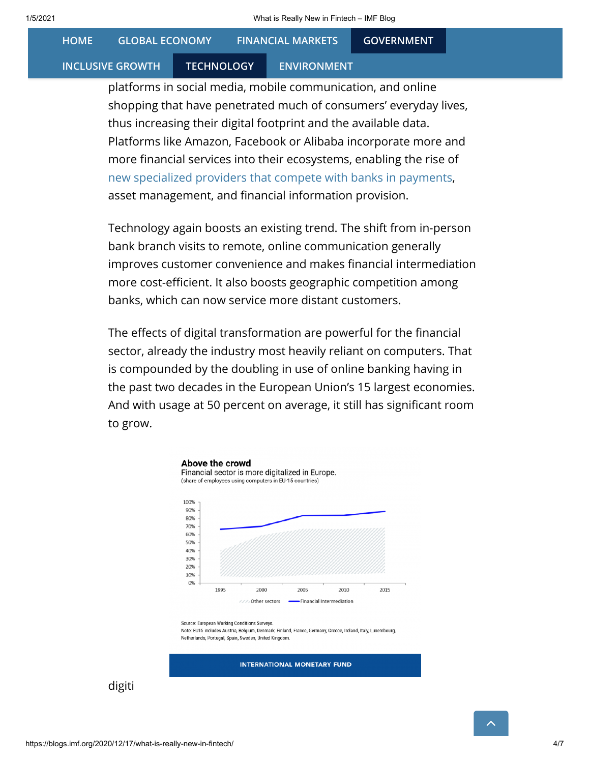**GLOBAL ECONOMY** [HOME](https://blogs.imf.org/) GLOBAL ECONOMY [FINANCIAL MARKETS](https://blogs.imf.org/category/financial-markets-2/) [GOVERNMENT](https://blogs.imf.org/category/government-2/)

#### **[INCLUSIVE GROWTH](https://blogs.imf.org/category/inclusive-growth/)**

#### TECHNOLOGY ENVIRONMENT

platforms in social media, mobile communication, and online shopping that have penetrated much of consumers' everyday lives, thus increasing their digital footprint and the available data. Platforms like Amazon, Facebook or Alibaba incorporate more and more financial services into their ecosystems, enabling the rise of [new specialized providers that compete with banks in payments,](https://www.imf.org/en/News/Articles/2020/12/11/sp121120-four-cornerstones-of-payments-in-the-digital-age) asset management, and financial information provision.

Technology again boosts an existing trend. The shift from in-person bank branch visits to remote, online communication generally improves customer convenience and makes financial intermediation more cost-efficient. It also boosts geographic competition among banks, which can now service more distant customers.

The effects of digital transformation are powerful for the financial sector, already the industry most heavily reliant on computers. That is compounded by the doubling in use of online banking having in the past two decades in the European Union's 15 largest economies. And with usage at 50 percent on average, it still has significant room to grow.



Note: EU15 includes Austria, Belgium, Denmark, Finland, France, Germany, Greece, Ireland, Italy, Luxembourg Netherlands, Portugal, Spain, Sweden, United Kingdom

**INTERNATIONAL MONETARY FUND** 

digiti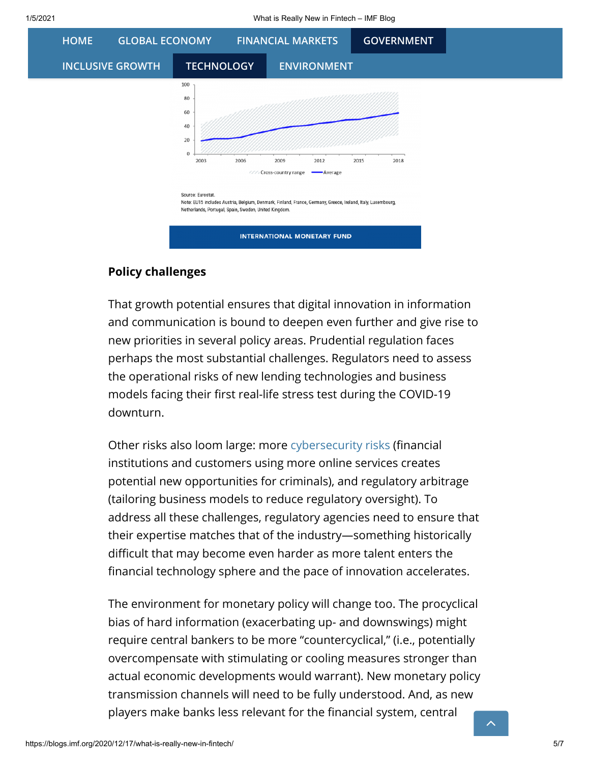

### Policy challenges

That growth potential ensures that digital innovation in information and communication is bound to deepen even further and give rise to new priorities in several policy areas. Prudential regulation faces perhaps the most substantial challenges. Regulators need to assess the operational risks of new lending technologies and business models facing their first real-life stress test during the COVID-19 downturn.

Other risks also loom large: more [cybersecurity risks](https://blogs.imf.org/2020/12/07/cyber-risk-is-the-new-threat-to-financial-stability/) (financial institutions and customers using more online services creates potential new opportunities for criminals), and regulatory arbitrage (tailoring business models to reduce regulatory oversight). To address all these challenges, regulatory agencies need to ensure that their expertise matches that of the industry—something historically difficult that may become even harder as more talent enters the financial technology sphere and the pace of innovation accelerates.

The environment for monetary policy will change too. The procyclical bias of hard information (exacerbating up- and downswings) might require central bankers to be more "countercyclical," (i.e., potentially overcompensate with stimulating or cooling measures stronger than actual economic developments would warrant). New monetary policy transmission channels will need to be fully understood. And, as new players make banks less relevant for the financial system, central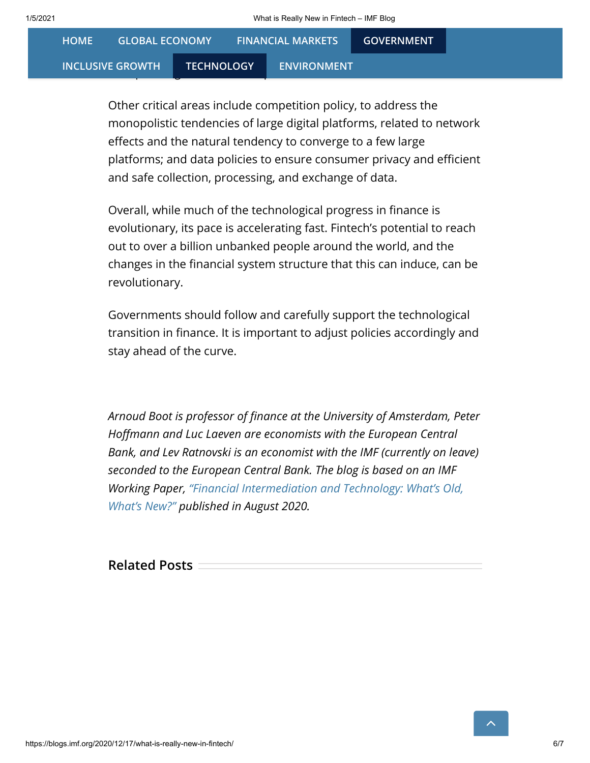| <b>GLOBAL ECONOMY</b><br><b>HOME</b> |                   | <b>FINANCIAL MARKETS</b> | <b>GOVERNMENT</b> |  |
|--------------------------------------|-------------------|--------------------------|-------------------|--|
| <b>INCLUSIVE GROWTH</b>              | <b>TECHNOLOGY</b> | <b>ENVIRONMENT</b>       |                   |  |

Other critical areas include competition policy, to address the monopolistic tendencies of large digital platforms, related to network effects and the natural tendency to converge to a few large platforms; and data policies to ensure consumer privacy and efficient and safe collection, processing, and exchange of data.

Overall, while much of the technological progress in finance is evolutionary, its pace is accelerating fast. Fintech's potential to reach out to over a billion unbanked people around the world, and the changes in the financial system structure that this can induce, can be revolutionary.

Governments should follow and carefully support the technological transition in finance. It is important to adjust policies accordingly and stay ahead of the curve.

Arnoud Boot is professor of finance at the University of Amsterdam, Peter Hoffmann and Luc Laeven are economists with the European Central Bank, and Lev Ratnovski is an economist with the IMF (currently on leave) seconded to the European Central Bank. The blog is based on an IMF [Working Paper, "Financial Intermediation and Technology: What's Old,](https://www.imf.org/en/Publications/WP/Issues/2020/08/07/Financial-Intermediation-and-Technology-Whats-Old-Whats-New-49624) What's New?" published in August 2020.

Related Posts